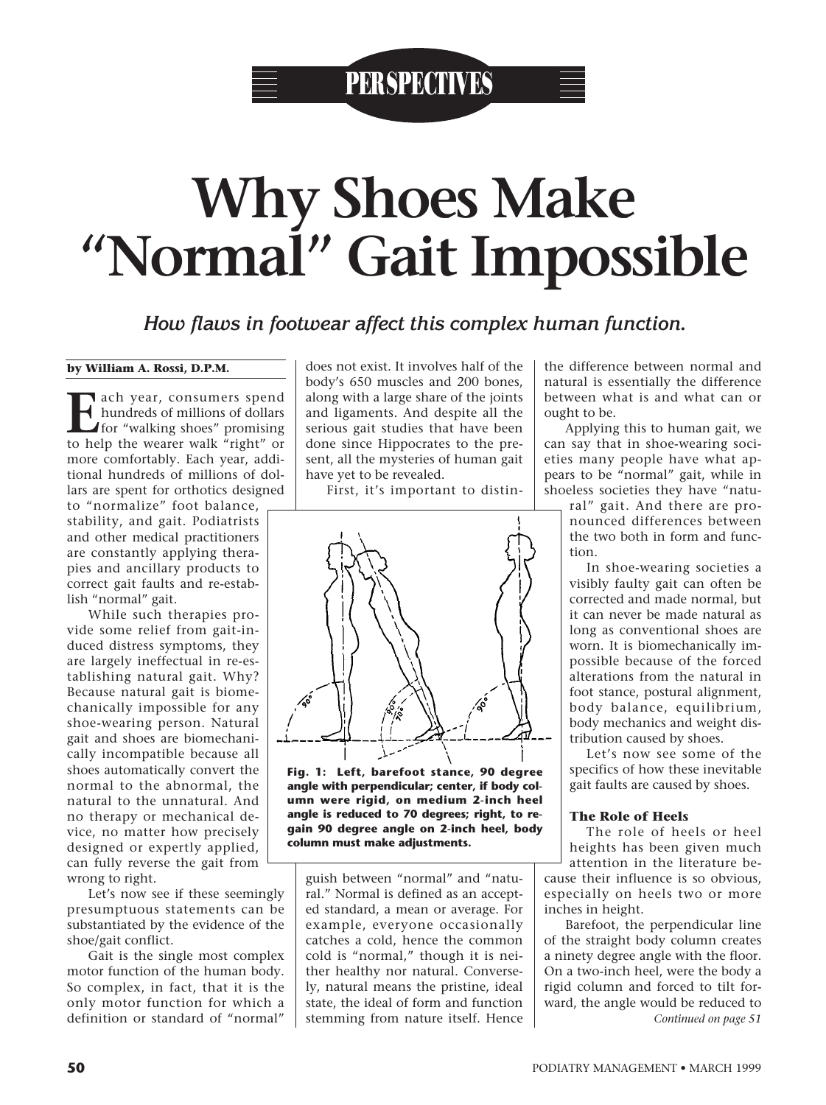## **PERSPECTIVES**

# **Why Shoes Make "Normal" Gait Impossible**

*How flaws in footwear affect this complex human function.*

#### **by William A. Rossi, D.P.M.**

**E**<br>**E**ach year, consumers spend<br>for "walking shoes" promising<br>to help the wearer walk "right" or hundreds of millions of dollars to help the wearer walk "right" or more comfortably. Each year, additional hundreds of millions of dollars are spent for orthotics designed

to "normalize" foot balance, stability, and gait. Podiatrists and other medical practitioners are constantly applying therapies and ancillary products to correct gait faults and re-establish "normal" gait.

While such therapies provide some relief from gait-induced distress symptoms, they are largely ineffectual in re-establishing natural gait. Why? Because natural gait is biomechanically impossible for any shoe-wearing person. Natural gait and shoes are biomechanically incompatible because all shoes automatically convert the normal to the abnormal, the natural to the unnatural. And no therapy or mechanical device, no matter how precisely designed or expertly applied, can fully reverse the gait from wrong to right.

Let's now see if these seemingly presumptuous statements can be substantiated by the evidence of the shoe/gait conflict.

Gait is the single most complex motor function of the human body. So complex, in fact, that it is the only motor function for which a definition or standard of "normal"

does not exist. It involves half of the body's 650 muscles and 200 bones, along with a large share of the joints and ligaments. And despite all the serious gait studies that have been done since Hippocrates to the present, all the mysteries of human gait have yet to be revealed.

First, it's important to distin-



**Fig. 1: Left, barefoot stance, 90 degree angle with perpendicular; center, if body column were rigid, on medium 2-inch heel angle is reduced to 70 degrees; right, to regain 90 degree angle on 2-inch heel, body column must make adjustments.**

guish between "normal" and "natural." Normal is defined as an accepted standard, a mean or average. For example, everyone occasionally catches a cold, hence the common cold is "normal," though it is neither healthy nor natural. Conversely, natural means the pristine, ideal state, the ideal of form and function stemming from nature itself. Hence the difference between normal and natural is essentially the difference between what is and what can or ought to be.

Applying this to human gait, we can say that in shoe-wearing societies many people have what appears to be "normal" gait, while in shoeless societies they have "natu-

> ral" gait. And there are pronounced differences between the two both in form and function.

> In shoe-wearing societies a visibly faulty gait can often be corrected and made normal, but it can never be made natural as long as conventional shoes are worn. It is biomechanically impossible because of the forced alterations from the natural in foot stance, postural alignment, body balance, equilibrium, body mechanics and weight distribution caused by shoes.

> Let's now see some of the specifics of how these inevitable gait faults are caused by shoes.

#### **The Role of Heels**

The role of heels or heel heights has been given much attention in the literature because their influence is so obvious, especially on heels two or more inches in height.

Barefoot, the perpendicular line of the straight body column creates a ninety degree angle with the floor. On a two-inch heel, were the body a rigid column and forced to tilt forward, the angle would be reduced to *Continued on page 51*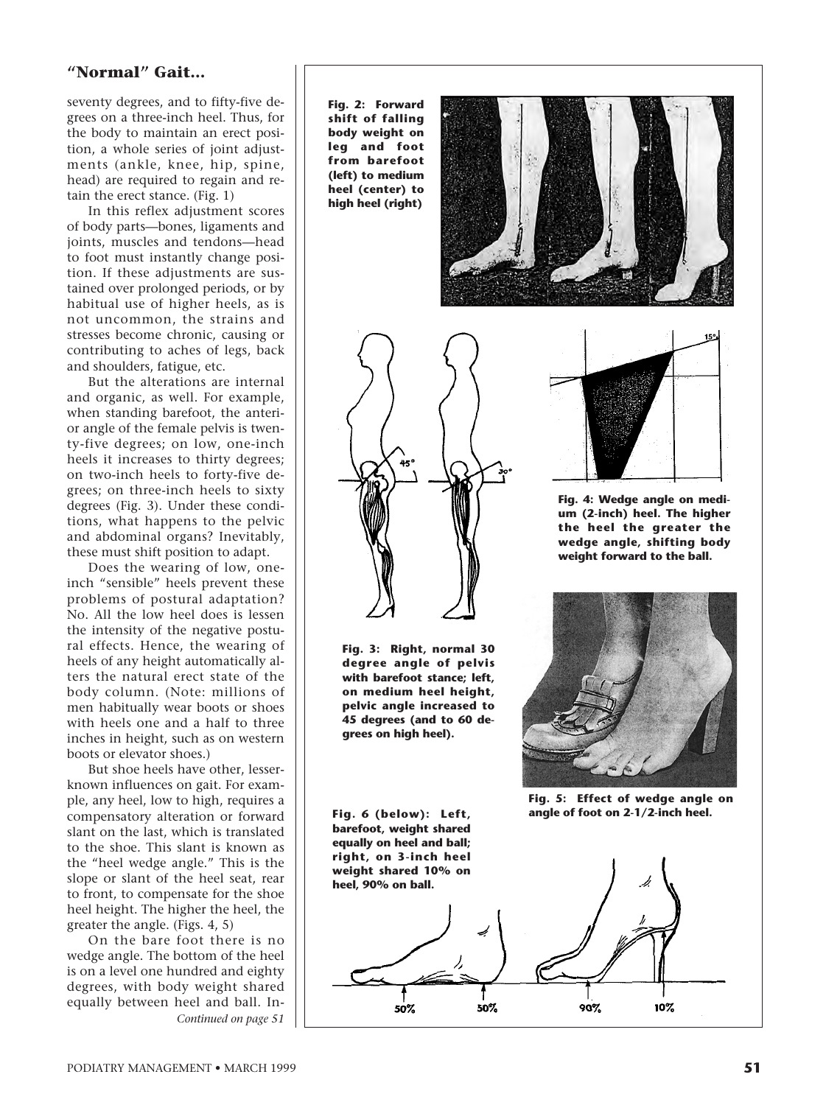seventy degrees, and to fifty-five degrees on a three-inch heel. Thus, for the body to maintain an erect position, a whole series of joint adjustments (ankle, knee, hip, spine, head) are required to regain and retain the erect stance. (Fig. 1)

In this reflex adjustment scores of body parts—bones, ligaments and joints, muscles and tendons—head to foot must instantly change position. If these adjustments are sustained over prolonged periods, or by habitual use of higher heels, as is not uncommon, the strains and stresses become chronic, causing or contributing to aches of legs, back and shoulders, fatigue, etc.

But the alterations are internal and organic, as well. For example, when standing barefoot, the anterior angle of the female pelvis is twenty-five degrees; on low, one-inch heels it increases to thirty degrees; on two-inch heels to forty-five degrees; on three-inch heels to sixty degrees (Fig. 3). Under these conditions, what happens to the pelvic and abdominal organs? Inevitably, these must shift position to adapt.

Does the wearing of low, oneinch "sensible" heels prevent these problems of postural adaptation? No. All the low heel does is lessen the intensity of the negative postural effects. Hence, the wearing of heels of any height automatically alters the natural erect state of the body column. (Note: millions of men habitually wear boots or shoes with heels one and a half to three inches in height, such as on western boots or elevator shoes.)

But shoe heels have other, lesserknown influences on gait. For example, any heel, low to high, requires a compensatory alteration or forward slant on the last, which is translated to the shoe. This slant is known as the "heel wedge angle." This is the slope or slant of the heel seat, rear to front, to compensate for the shoe heel height. The higher the heel, the greater the angle. (Figs. 4, 5)

On the bare foot there is no wedge angle. The bottom of the heel is on a level one hundred and eighty degrees, with body weight shared equally between heel and ball. In- *Continued on page 51*

**Fig. 2: Forward shift of falling body weight on leg and foot from barefoot (left) to medium heel (center) to high heel (right)**





**Fig. 3: Right, normal 30 degree angle of pelvis with barefoot stance; left, on medium heel height, pelvic angle increased to 45 degrees (and to 60 degrees on high heel).**

 $15<sup>o</sup>$ 

**Fig. 4: Wedge angle on medium (2-inch) heel. The higher the heel the greater the wedge angle, shifting body weight forward to the ball.**



**Fig. 5: Effect of wedge angle on Fig. 6 (below): Left, angle of foot on 2-1/2-inch heel.**

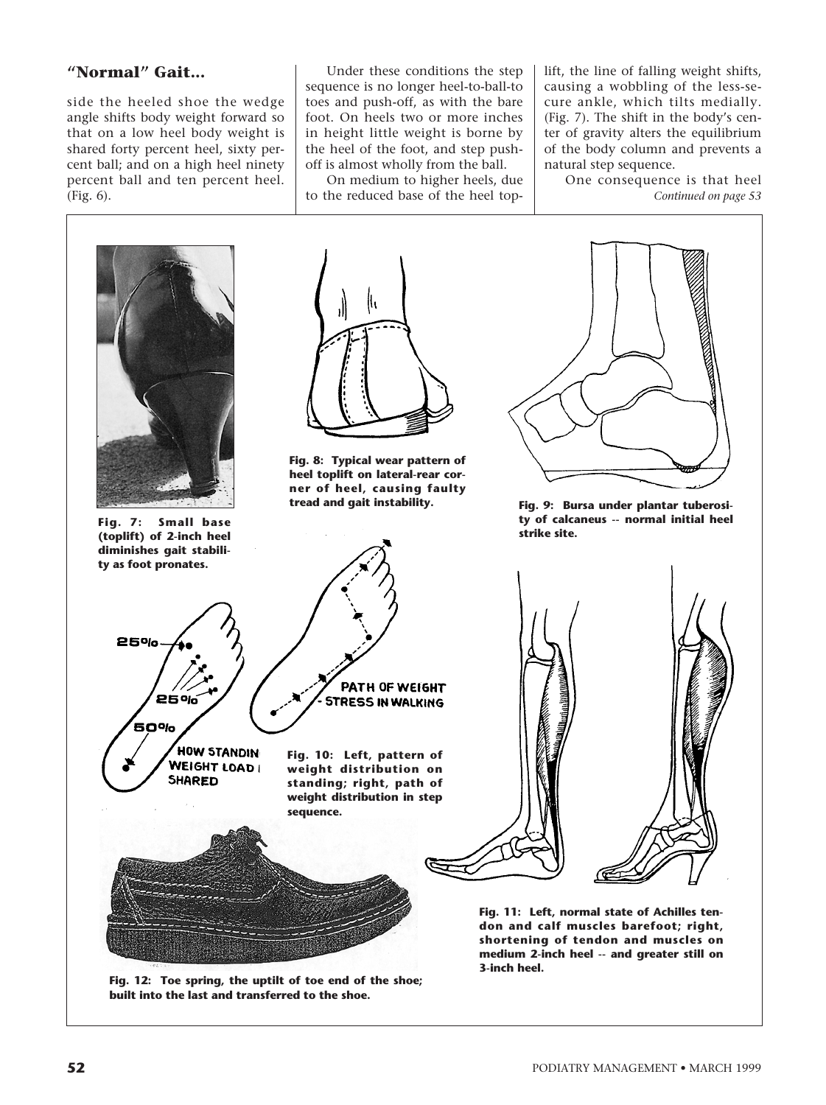side the heeled shoe the wedge angle shifts body weight forward so that on a low heel body weight is shared forty percent heel, sixty percent ball; and on a high heel ninety percent ball and ten percent heel. (Fig. 6).

Under these conditions the step sequence is no longer heel-to-ball-to toes and push-off, as with the bare foot. On heels two or more inches in height little weight is borne by the heel of the foot, and step pushoff is almost wholly from the ball.

On medium to higher heels, due to the reduced base of the heel toplift, the line of falling weight shifts, causing a wobbling of the less-secure ankle, which tilts medially. (Fig. 7). The shift in the body's center of gravity alters the equilibrium of the body column and prevents a natural step sequence.

One consequence is that heel *Continued on page 53*



**Fig. 12: Toe spring, the uptilt of toe end of the shoe; built into the last and transferred to the shoe.**

**3-inch heel.**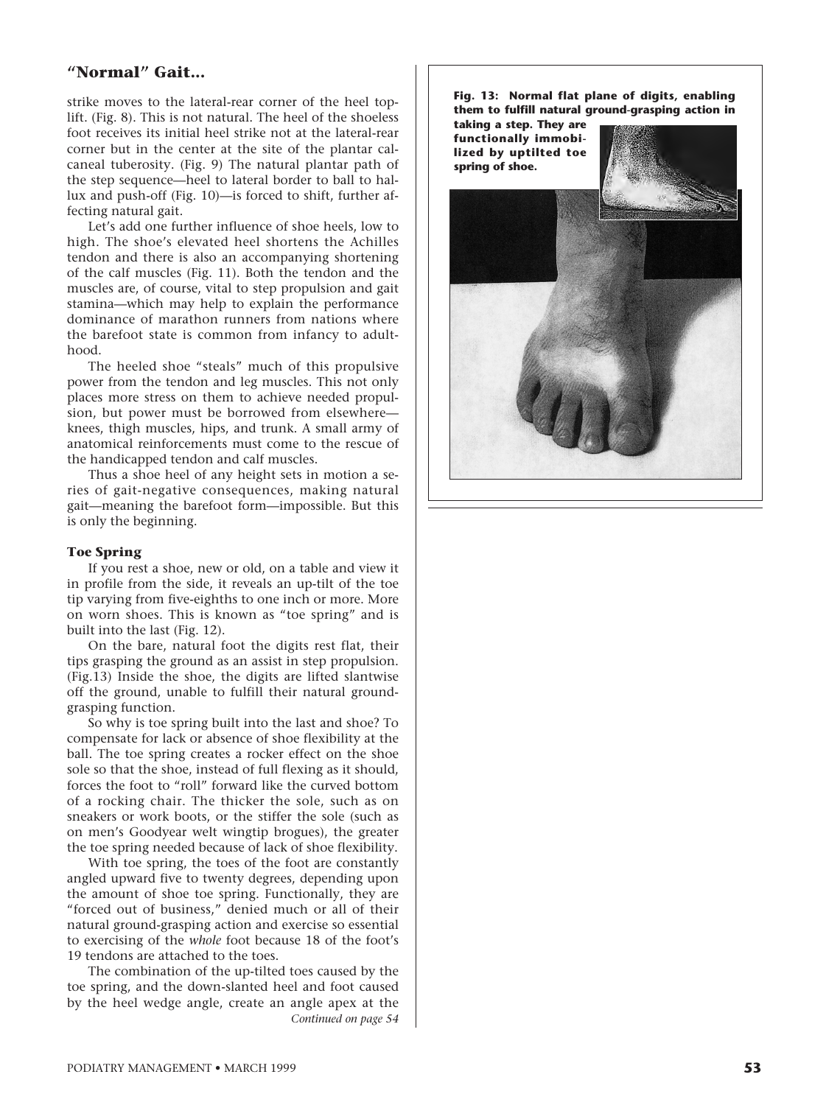strike moves to the lateral-rear corner of the heel toplift. (Fig. 8). This is not natural. The heel of the shoeless foot receives its initial heel strike not at the lateral-rear corner but in the center at the site of the plantar calcaneal tuberosity. (Fig. 9) The natural plantar path of the step sequence—heel to lateral border to ball to hallux and push-off (Fig. 10)—is forced to shift, further affecting natural gait.

Let's add one further influence of shoe heels, low to high. The shoe's elevated heel shortens the Achilles tendon and there is also an accompanying shortening of the calf muscles (Fig. 11). Both the tendon and the muscles are, of course, vital to step propulsion and gait stamina—which may help to explain the performance dominance of marathon runners from nations where the barefoot state is common from infancy to adulthood.

The heeled shoe "steals" much of this propulsive power from the tendon and leg muscles. This not only places more stress on them to achieve needed propulsion, but power must be borrowed from elsewhere knees, thigh muscles, hips, and trunk. A small army of anatomical reinforcements must come to the rescue of the handicapped tendon and calf muscles.

Thus a shoe heel of any height sets in motion a series of gait-negative consequences, making natural gait—meaning the barefoot form—impossible. But this is only the beginning.

#### **Toe Spring**

If you rest a shoe, new or old, on a table and view it in profile from the side, it reveals an up-tilt of the toe tip varying from five-eighths to one inch or more. More on worn shoes. This is known as "toe spring" and is built into the last (Fig. 12).

On the bare, natural foot the digits rest flat, their tips grasping the ground as an assist in step propulsion. (Fig.13) Inside the shoe, the digits are lifted slantwise off the ground, unable to fulfill their natural groundgrasping function.

So why is toe spring built into the last and shoe? To compensate for lack or absence of shoe flexibility at the ball. The toe spring creates a rocker effect on the shoe sole so that the shoe, instead of full flexing as it should, forces the foot to "roll" forward like the curved bottom of a rocking chair. The thicker the sole, such as on sneakers or work boots, or the stiffer the sole (such as on men's Goodyear welt wingtip brogues), the greater the toe spring needed because of lack of shoe flexibility.

With toe spring, the toes of the foot are constantly angled upward five to twenty degrees, depending upon the amount of shoe toe spring. Functionally, they are "forced out of business," denied much or all of their natural ground-grasping action and exercise so essential to exercising of the *whole* foot because 18 of the foot's 19 tendons are attached to the toes.

The combination of the up-tilted toes caused by the toe spring, and the down-slanted heel and foot caused by the heel wedge angle, create an angle apex at the *Continued on page 54*

**Fig. 13: Normal flat plane of digits, enabling them to fulfill natural ground-grasping action in**

**taking a step. They are spring of shoe.**

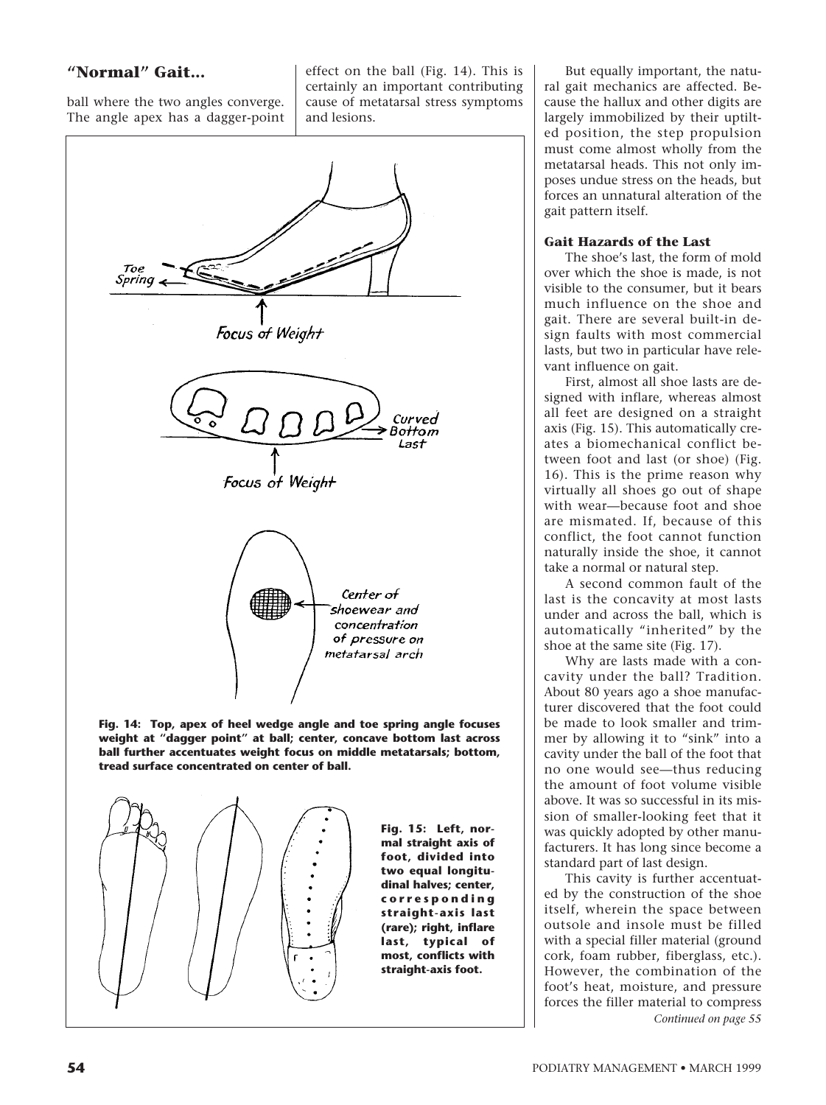ball where the two angles converge. The angle apex has a dagger-point effect on the ball (Fig. 14). This is certainly an important contributing cause of metatarsal stress symptoms and lesions.



**weight at "dagger point" at ball; center, concave bottom last across ball further accentuates weight focus on middle metatarsals; bottom, tread surface concentrated on center of ball.**



**Fig. 15: Left, normal straight axis of foot, divided into two equal longitudinal halves; center, corresponding straight-axis last (rare); right, inflare last, typical of most, conflicts with straight-axis foot.**

But equally important, the natural gait mechanics are affected. Because the hallux and other digits are largely immobilized by their uptilted position, the step propulsion must come almost wholly from the metatarsal heads. This not only imposes undue stress on the heads, but forces an unnatural alteration of the gait pattern itself.

#### **Gait Hazards of the Last**

The shoe's last, the form of mold over which the shoe is made, is not visible to the consumer, but it bears much influence on the shoe and gait. There are several built-in design faults with most commercial lasts, but two in particular have relevant influence on gait.

First, almost all shoe lasts are designed with inflare, whereas almost all feet are designed on a straight axis (Fig. 15). This automatically creates a biomechanical conflict between foot and last (or shoe) (Fig. 16). This is the prime reason why virtually all shoes go out of shape with wear—because foot and shoe are mismated. If, because of this conflict, the foot cannot function naturally inside the shoe, it cannot take a normal or natural step.

A second common fault of the last is the concavity at most lasts under and across the ball, which is automatically "inherited" by the shoe at the same site (Fig. 17).

Why are lasts made with a concavity under the ball? Tradition. About 80 years ago a shoe manufacturer discovered that the foot could be made to look smaller and trimmer by allowing it to "sink" into a cavity under the ball of the foot that no one would see—thus reducing the amount of foot volume visible above. It was so successful in its mission of smaller-looking feet that it was quickly adopted by other manufacturers. It has long since become a standard part of last design.

This cavity is further accentuated by the construction of the shoe itself, wherein the space between outsole and insole must be filled with a special filler material (ground cork, foam rubber, fiberglass, etc.). However, the combination of the foot's heat, moisture, and pressure forces the filler material to compress *Continued on page 55*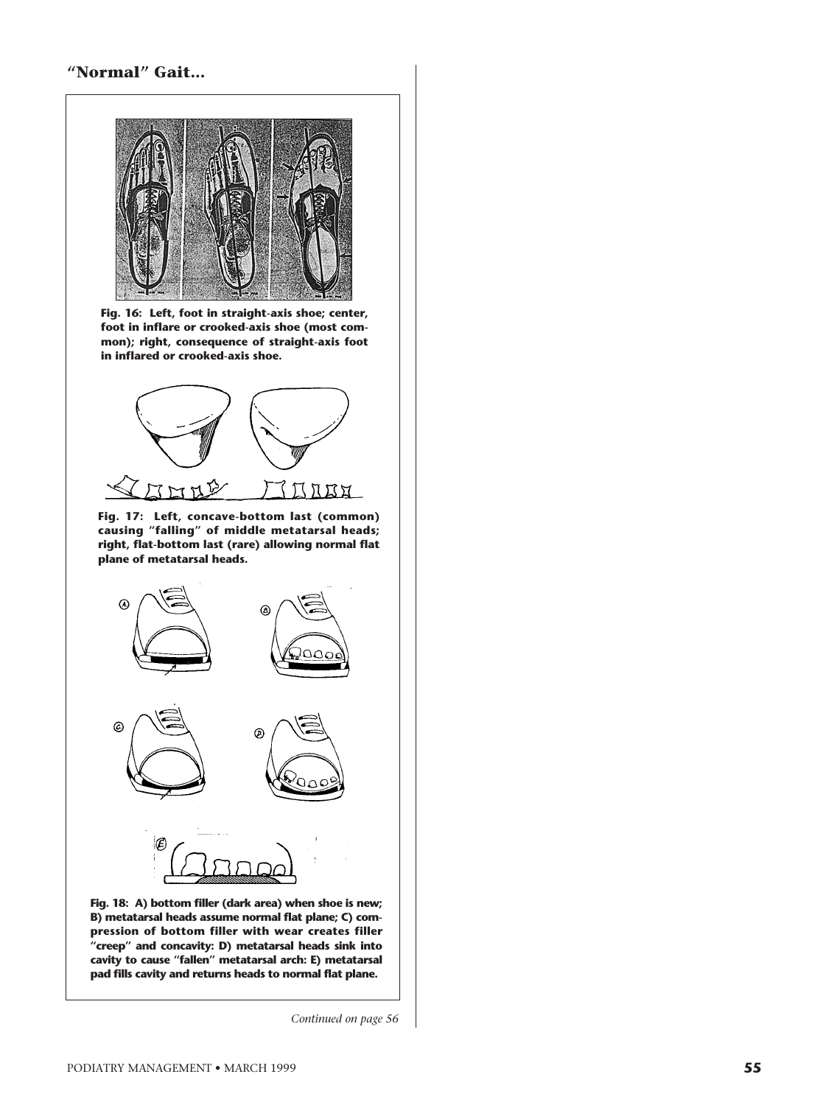

**Fig. 16: Left, foot in straight-axis shoe; center, foot in inflare or crooked-axis shoe (most common); right, consequence of straight-axis foot in inflared or crooked-axis shoe.**



**Fig. 17: Left, concave-bottom last (common) causing "falling" of middle metatarsal heads; right, flat-bottom last (rare) allowing normal flat plane of metatarsal heads.**



**B) metatarsal heads assume normal flat plane; C) compression of bottom filler with wear creates filler "creep" and concavity: D) metatarsal heads sink into cavity to cause "fallen" metatarsal arch: E) metatarsal pad fills cavity and returns heads to normal flat plane.**

*Continued on page 56*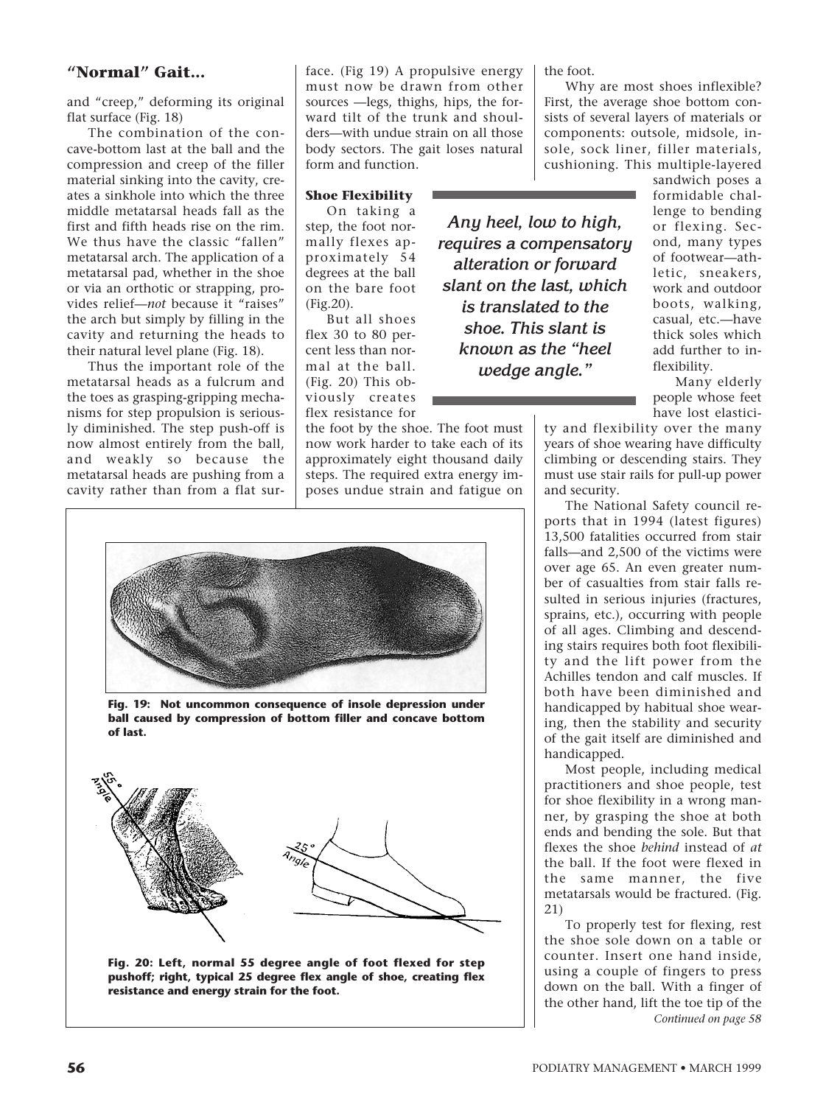and "creep," deforming its original flat surface (Fig. 18)

The combination of the concave-bottom last at the ball and the compression and creep of the filler material sinking into the cavity, creates a sinkhole into which the three middle metatarsal heads fall as the first and fifth heads rise on the rim. We thus have the classic "fallen" metatarsal arch. The application of a metatarsal pad, whether in the shoe or via an orthotic or strapping, provides relief—*not* because it "raises" the arch but simply by filling in the cavity and returning the heads to their natural level plane (Fig. 18).

Thus the important role of the metatarsal heads as a fulcrum and the toes as grasping-gripping mechanisms for step propulsion is seriously diminished. The step push-off is now almost entirely from the ball, and weakly so because the metatarsal heads are pushing from a cavity rather than from a flat surface. (Fig 19) A propulsive energy must now be drawn from other sources —legs, thighs, hips, the forward tilt of the trunk and shoulders—with undue strain on all those body sectors. The gait loses natural form and function.

#### **Shoe Flexibility**

On taking a step, the foot normally flexes approximately 54 degrees at the ball on the bare foot (Fig.20).

But all shoes flex 30 to 80 percent less than normal at the ball. (Fig. 20) This obviously creates flex resistance for

the foot by the shoe. The foot must now work harder to take each of its approximately eight thousand daily steps. The required extra energy imposes undue strain and fatigue on

*Any heel, low to high, requires a compensatory alteration or forward slant on the last, which is translated to the shoe. This slant is known as the "heel wedge angle."*

the foot.

Why are most shoes inflexible? First, the average shoe bottom consists of several layers of materials or components: outsole, midsole, insole, sock liner, filler materials, cushioning. This multiple-layered

sandwich poses a formidable challenge to bending or flexing. Second, many types of footwear—athletic, sneakers, work and outdoor boots, walking, casual, etc.—have thick soles which add further to inflexibility.

Many elderly people whose feet have lost elastici-

ty and flexibility over the many years of shoe wearing have difficulty climbing or descending stairs. They must use stair rails for pull-up power and security.

The National Safety council reports that in 1994 (latest figures) 13,500 fatalities occurred from stair falls—and 2,500 of the victims were over age 65. An even greater number of casualties from stair falls resulted in serious injuries (fractures, sprains, etc.), occurring with people of all ages. Climbing and descending stairs requires both foot flexibility and the lift power from the Achilles tendon and calf muscles. If both have been diminished and handicapped by habitual shoe wearing, then the stability and security of the gait itself are diminished and handicapped.

Most people, including medical practitioners and shoe people, test for shoe flexibility in a wrong manner, by grasping the shoe at both ends and bending the sole. But that flexes the shoe *behind* instead of *at* the ball. If the foot were flexed in the same manner, the five metatarsals would be fractured. (Fig. 21)

To properly test for flexing, rest the shoe sole down on a table or counter. Insert one hand inside, using a couple of fingers to press down on the ball. With a finger of the other hand, lift the toe tip of the *Continued on page 58*



**Fig. 19: Not uncommon consequence of insole depression under ball caused by compression of bottom filler and concave bottom of last.**



**Fig. 20: Left, normal 55 degree angle of foot flexed for step pushoff; right, typical 25 degree flex angle of shoe, creating flex resistance and energy strain for the foot.**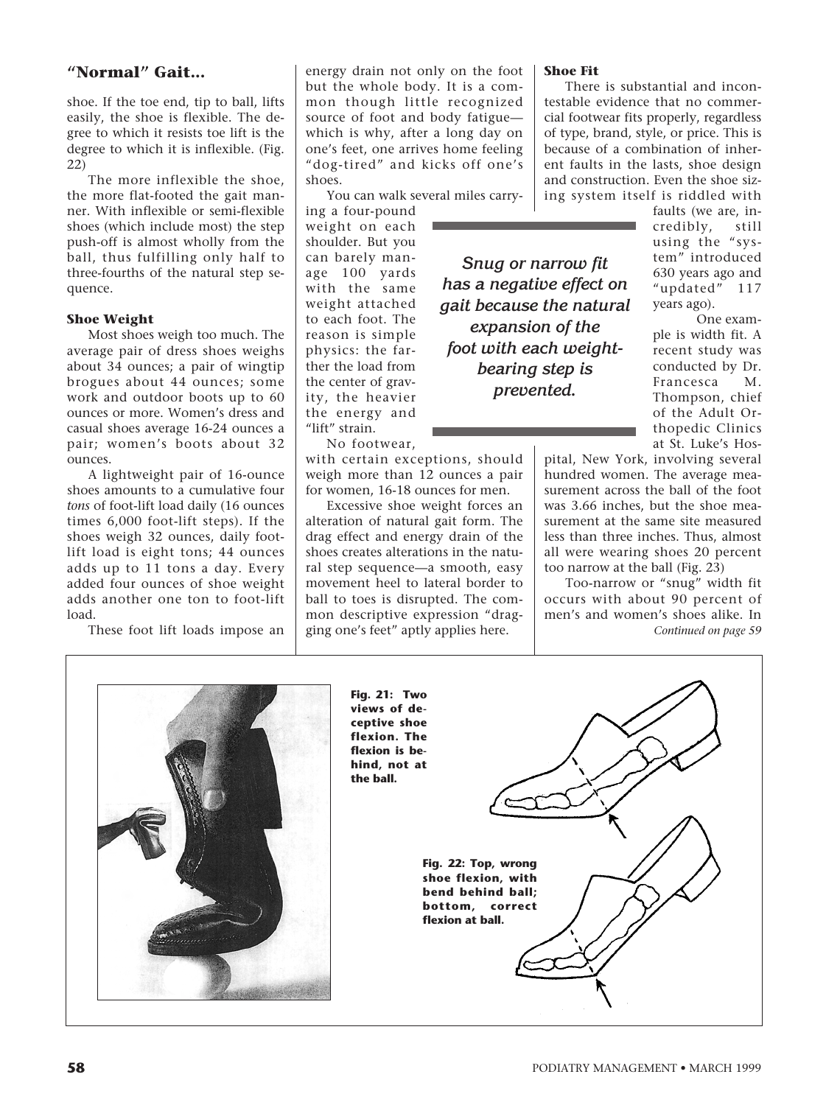shoe. If the toe end, tip to ball, lifts easily, the shoe is flexible. The degree to which it resists toe lift is the degree to which it is inflexible. (Fig. 22)

The more inflexible the shoe, the more flat-footed the gait manner. With inflexible or semi-flexible shoes (which include most) the step push-off is almost wholly from the ball, thus fulfilling only half to three-fourths of the natural step sequence.

#### **Shoe Weight**

Most shoes weigh too much. The average pair of dress shoes weighs about 34 ounces; a pair of wingtip brogues about 44 ounces; some work and outdoor boots up to 60 ounces or more. Women's dress and casual shoes average 16-24 ounces a pair; women's boots about 32 ounces.

A lightweight pair of 16-ounce shoes amounts to a cumulative four *tons* of foot-lift load daily (16 ounces times 6,000 foot-lift steps). If the shoes weigh 32 ounces, daily footlift load is eight tons; 44 ounces adds up to 11 tons a day. Every added four ounces of shoe weight adds another one ton to foot-lift load.

These foot lift loads impose an

energy drain not only on the foot but the whole body. It is a common though little recognized source of foot and body fatigue which is why, after a long day on one's feet, one arrives home feeling "dog-tired" and kicks off one's shoes.

You can walk several miles carry-

ing a four-pound weight on each shoulder. But you can barely manage 100 yards with the same weight attached to each foot. The reason is simple physics: the farther the load from the center of gravity, the heavier the energy and "lift" strain.

No footwear,

with certain exceptions, should weigh more than 12 ounces a pair for women, 16-18 ounces for men.

Excessive shoe weight forces an alteration of natural gait form. The drag effect and energy drain of the shoes creates alterations in the natural step sequence—a smooth, easy movement heel to lateral border to ball to toes is disrupted. The common descriptive expression "dragging one's feet" aptly applies here.

*Snug or narrow fit has a negative effect on gait because the natural expansion of the foot with each weightbearing step is prevented.*

**Shoe Fit**

There is substantial and incontestable evidence that no commercial footwear fits properly, regardless of type, brand, style, or price. This is because of a combination of inherent faults in the lasts, shoe design and construction. Even the shoe sizing system itself is riddled with

> faults (we are, incredibly, still using the "system" introduced 630 years ago and "updated" 117 years ago).

> One example is width fit. A recent study was conducted by Dr. Francesca M. Thompson, chief of the Adult Orthopedic Clinics at St. Luke's Hos-

pital, New York, involving several hundred women. The average measurement across the ball of the foot was 3.66 inches, but the shoe measurement at the same site measured less than three inches. Thus, almost all were wearing shoes 20 percent too narrow at the ball (Fig. 23)

Too-narrow or "snug" width fit occurs with about 90 percent of men's and women's shoes alike. In *Continued on page 59*

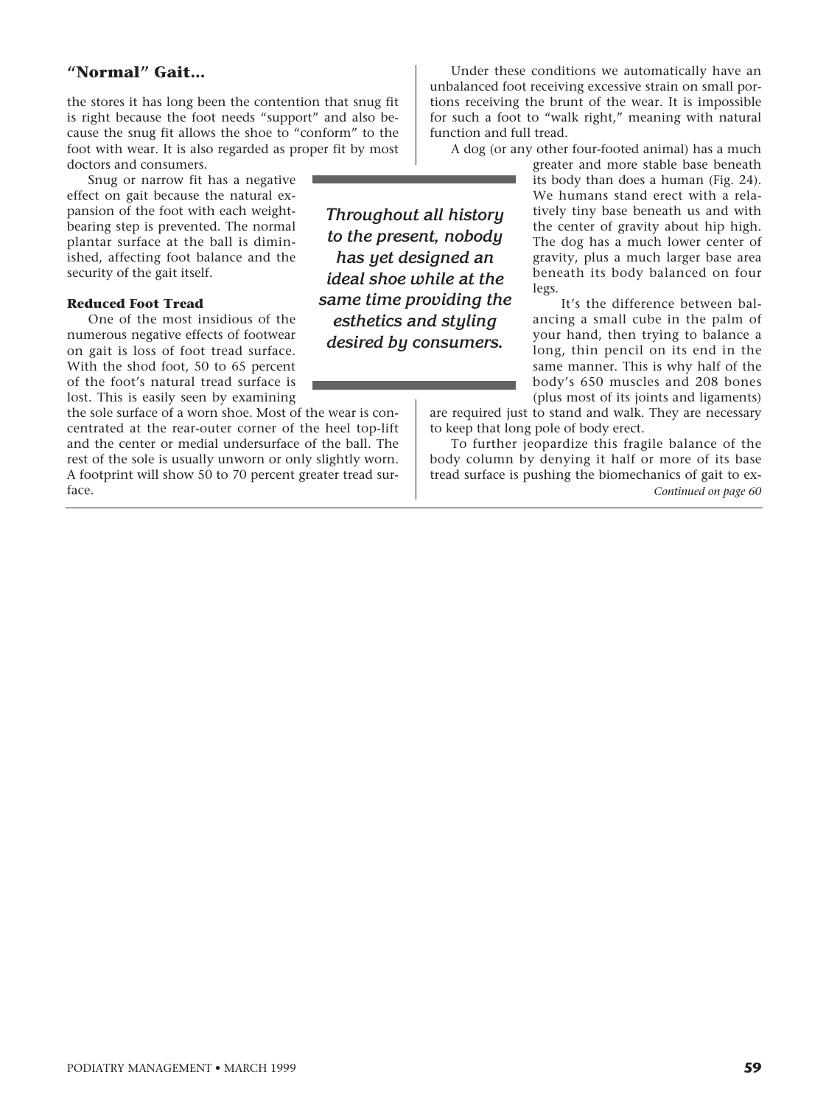PODIATRY MANAGEMENT • MARCH 1999 **59**

the stores it has long been the contention that snug fit is right because the foot needs "support" and also because the snug fit allows the shoe to "conform" to the foot with wear. It is also regarded as proper fit by most doctors and consumers.

Snug or narrow fit has a negative effect on gait because the natural expansion of the foot with each weightbearing step is prevented. The normal plantar surface at the ball is diminished, affecting foot balance and the security of the gait itself.

#### **Reduced Foot Tread**

One of the most insidious of the numerous negative effects of footwear on gait is loss of foot tread surface. With the shod foot, 50 to 65 percent of the foot's natural tread surface is lost. This is easily seen by examining

the sole surface of a worn shoe. Most of the wear is concentrated at the rear-outer corner of the heel top-lift and the center or medial undersurface of the ball. The rest of the sole is usually unworn or only slightly worn. A footprint will show 50 to 70 percent greater tread surface.

*Throughout all history to the present, nobody has yet designed an ideal shoe while at the same time providing the esthetics and styling desired by consumers.*

**"Normal" Gait...** The same of the Under these conditions we automatically have an unbalanced foot receiving excessive strain on small portions receiving the brunt of the wear. It is impossible for such a foot to "walk right," meaning with natural function and full tread.

A dog (or any other four-footed animal) has a much

greater and more stable base beneath its body than does a human (Fig. 24). We humans stand erect with a relatively tiny base beneath us and with the center of gravity about hip high. The dog has a much lower center of gravity, plus a much larger base area beneath its body balanced on four legs.

It's the difference between balancing a small cube in the palm of your hand, then trying to balance a long, thin pencil on its end in the same manner. This is why half of the body's 650 muscles and 208 bones (plus most of its joints and ligaments)

are required just to stand and walk. They are necessary to keep that long pole of body erect.

To further jeopardize this fragile balance of the body column by denying it half or more of its base tread surface is pushing the biomechanics of gait to ex-*Continued on page 60*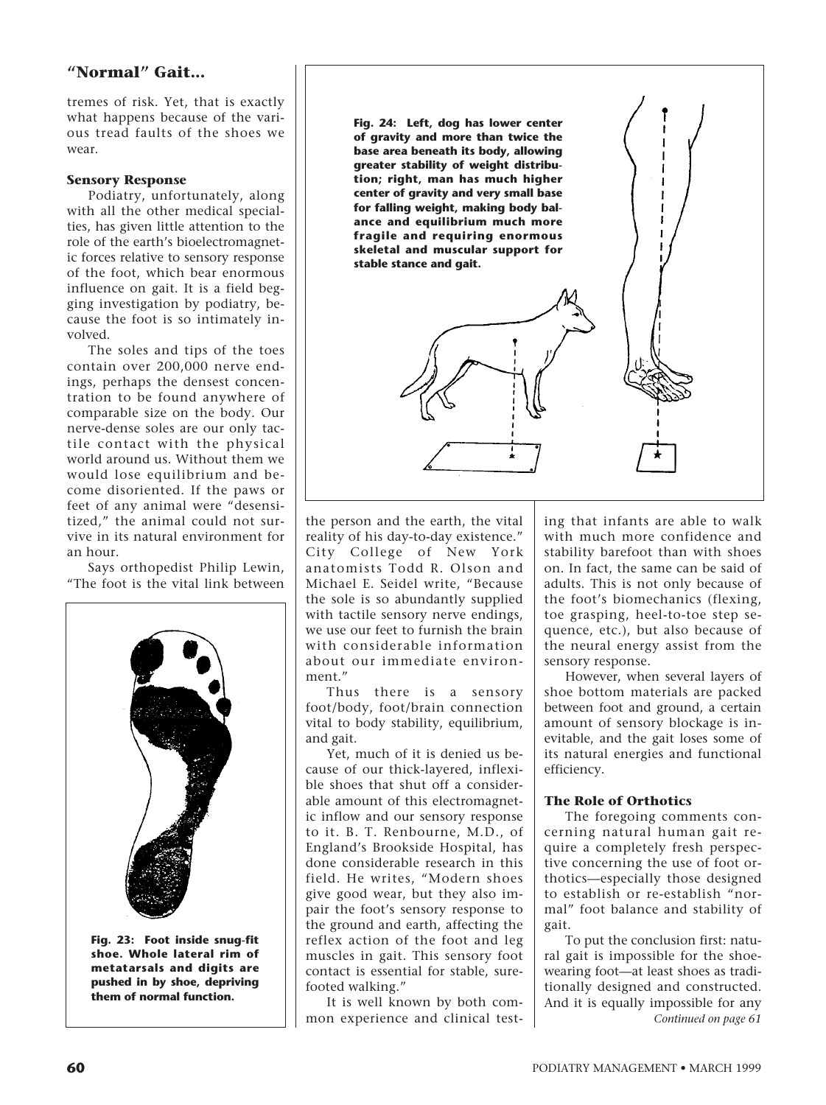tremes of risk. Yet, that is exactly what happens because of the various tread faults of the shoes we wear.

#### **Sensory Response**

Podiatry, unfortunately, along with all the other medical specialties, has given little attention to the role of the earth's bioelectromagnetic forces relative to sensory response of the foot, which bear enormous influence on gait. It is a field begging investigation by podiatry, because the foot is so intimately involved.

The soles and tips of the toes contain over 200,000 nerve endings, perhaps the densest concentration to be found anywhere of comparable size on the body. Our nerve-dense soles are our only tactile contact with the physical world around us. Without them we would lose equilibrium and become disoriented. If the paws or feet of any animal were "desensitized," the animal could not survive in its natural environment for an hour.

Says orthopedist Philip Lewin, "The foot is the vital link between



**Fig. 23: Foot inside snug-fit shoe. Whole lateral rim of metatarsals and digits are pushed in by shoe, depriving them of normal function.**



the person and the earth, the vital reality of his day-to-day existence." City College of New York anatomists Todd R. Olson and Michael E. Seidel write, "Because the sole is so abundantly supplied with tactile sensory nerve endings, we use our feet to furnish the brain with considerable information about our immediate environment."

Thus there is a sensory foot/body, foot/brain connection vital to body stability, equilibrium, and gait.

Yet, much of it is denied us because of our thick-layered, inflexible shoes that shut off a considerable amount of this electromagnetic inflow and our sensory response to it. B. T. Renbourne, M.D., of England's Brookside Hospital, has done considerable research in this field. He writes, "Modern shoes give good wear, but they also impair the foot's sensory response to the ground and earth, affecting the reflex action of the foot and leg muscles in gait. This sensory foot contact is essential for stable, surefooted walking."

It is well known by both common experience and clinical test-

ing that infants are able to walk with much more confidence and stability barefoot than with shoes on. In fact, the same can be said of adults. This is not only because of the foot's biomechanics (flexing, toe grasping, heel-to-toe step sequence, etc.), but also because of the neural energy assist from the sensory response.

However, when several layers of shoe bottom materials are packed between foot and ground, a certain amount of sensory blockage is inevitable, and the gait loses some of its natural energies and functional efficiency.

#### **The Role of Orthotics**

The foregoing comments concerning natural human gait require a completely fresh perspective concerning the use of foot orthotics—especially those designed to establish or re-establish "normal" foot balance and stability of gait.

To put the conclusion first: natural gait is impossible for the shoewearing foot—at least shoes as traditionally designed and constructed. And it is equally impossible for any *Continued on page 61*